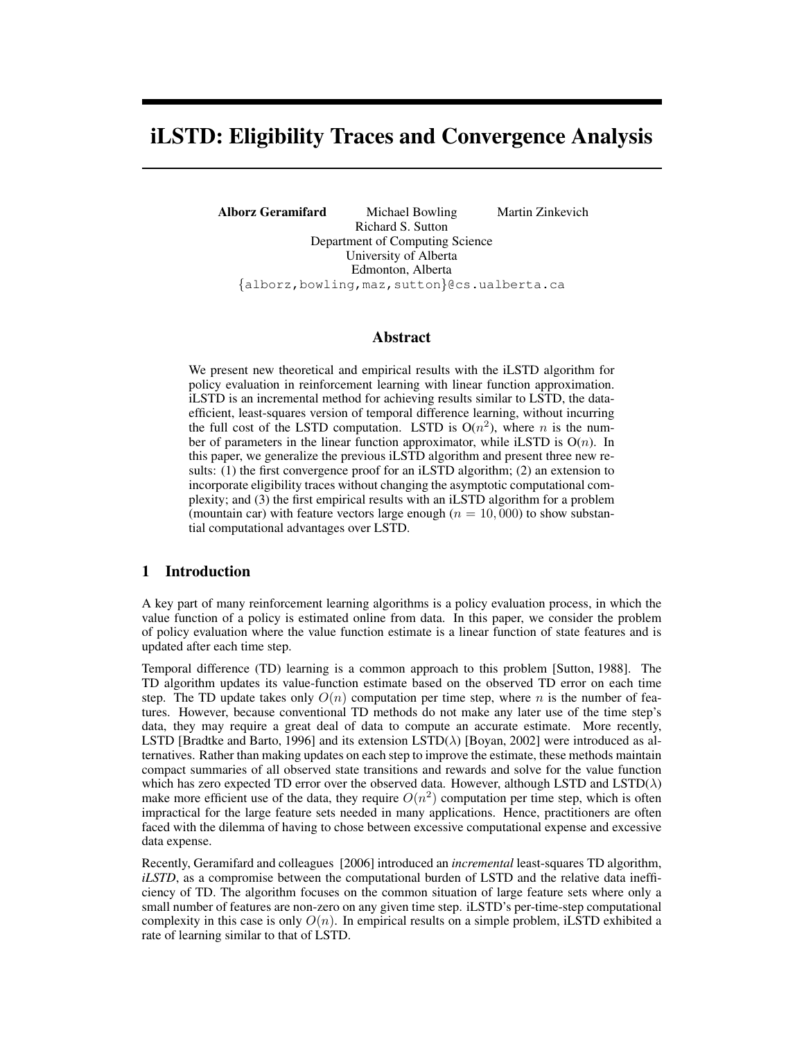# iLSTD: Eligibility Traces and Convergence Analysis

Alborz Geramifard Michael Bowling Martin Zinkevich Richard S. Sutton Department of Computing Science University of Alberta Edmonton, Alberta {alborz,bowling,maz,sutton}@cs.ualberta.ca

#### Abstract

We present new theoretical and empirical results with the iLSTD algorithm for policy evaluation in reinforcement learning with linear function approximation. iLSTD is an incremental method for achieving results similar to LSTD, the dataefficient, least-squares version of temporal difference learning, without incurring the full cost of the LSTD computation. LSTD is  $O(n^2)$ , where *n* is the number of parameters in the linear function approximator, while iLSTD is  $O(n)$ . In this paper, we generalize the previous iLSTD algorithm and present three new results: (1) the first convergence proof for an iLSTD algorithm; (2) an extension to incorporate eligibility traces without changing the asymptotic computational complexity; and (3) the first empirical results with an iLSTD algorithm for a problem (mountain car) with feature vectors large enough ( $n = 10,000$ ) to show substantial computational advantages over LSTD.

#### 1 Introduction

A key part of many reinforcement learning algorithms is a policy evaluation process, in which the value function of a policy is estimated online from data. In this paper, we consider the problem of policy evaluation where the value function estimate is a linear function of state features and is updated after each time step.

Temporal difference (TD) learning is a common approach to this problem [Sutton, 1988]. The TD algorithm updates its value-function estimate based on the observed TD error on each time step. The TD update takes only  $O(n)$  computation per time step, where n is the number of features. However, because conventional TD methods do not make any later use of the time step's data, they may require a great deal of data to compute an accurate estimate. More recently, LSTD [Bradtke and Barto, 1996] and its extension LSTD( $\lambda$ ) [Boyan, 2002] were introduced as alternatives. Rather than making updates on each step to improve the estimate, these methods maintain compact summaries of all observed state transitions and rewards and solve for the value function which has zero expected TD error over the observed data. However, although LSTD and  $\text{LSTD}(\lambda)$ make more efficient use of the data, they require  $O(n^2)$  computation per time step, which is often impractical for the large feature sets needed in many applications. Hence, practitioners are often faced with the dilemma of having to chose between excessive computational expense and excessive data expense.

Recently, Geramifard and colleagues [2006] introduced an *incremental* least-squares TD algorithm, *iLSTD*, as a compromise between the computational burden of LSTD and the relative data inefficiency of TD. The algorithm focuses on the common situation of large feature sets where only a small number of features are non-zero on any given time step. iLSTD's per-time-step computational complexity in this case is only  $O(n)$ . In empirical results on a simple problem, iLSTD exhibited a rate of learning similar to that of LSTD.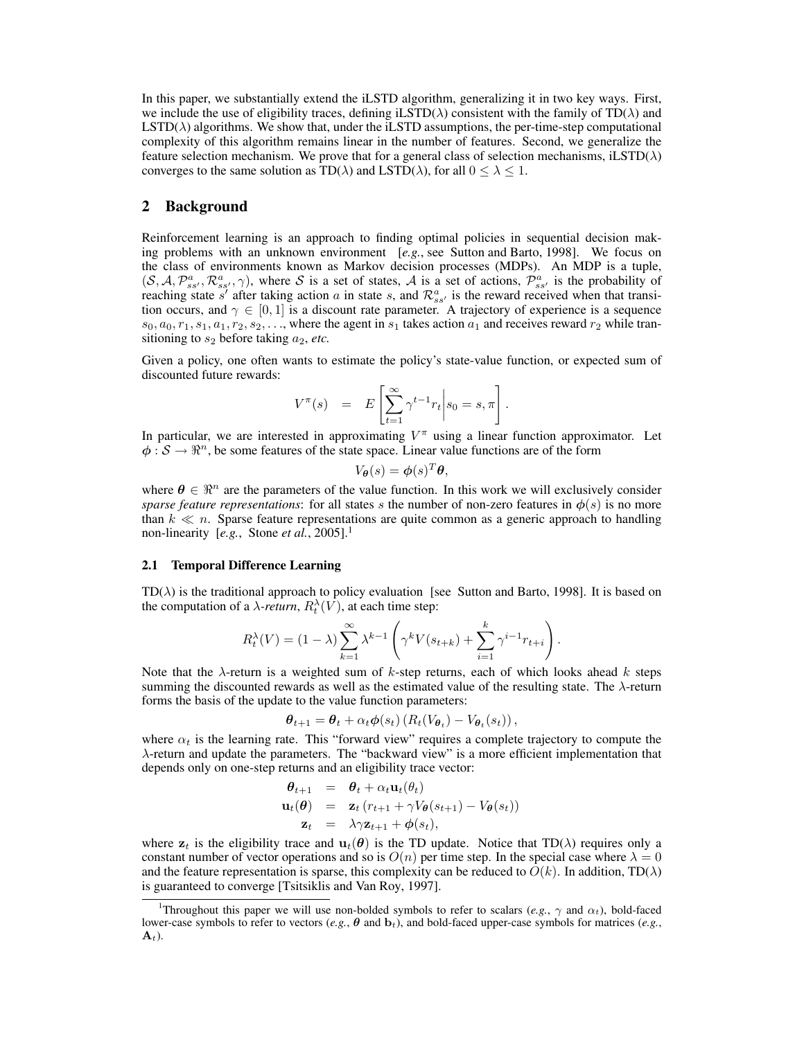In this paper, we substantially extend the iLSTD algorithm, generalizing it in two key ways. First, we include the use of eligibility traces, defining iLSTD( $\lambda$ ) consistent with the family of TD( $\lambda$ ) and  $\text{LSTD}(\lambda)$  algorithms. We show that, under the iLSTD assumptions, the per-time-step computational complexity of this algorithm remains linear in the number of features. Second, we generalize the feature selection mechanism. We prove that for a general class of selection mechanisms, iLSTD( $\lambda$ ) converges to the same solution as  $TD(\lambda)$  and  $LSTD(\lambda)$ , for all  $0 \leq \lambda \leq 1$ .

#### 2 Background

Reinforcement learning is an approach to finding optimal policies in sequential decision making problems with an unknown environment [*e.g.*, see Sutton and Barto, 1998]. We focus on the class of environments known as Markov decision processes (MDPs). An MDP is a tuple,  $(S, A, \mathcal{P}_{ss'}^a, \mathcal{R}_{ss'}^a, \gamma)$ , where S is a set of states, A is a set of actions,  $\mathcal{P}_{ss'}^a$  is the probability of reaching state s' after taking action a in state s, and  $\mathcal{R}^a_{ss'}$  is the reward received when that transition occurs, and  $\gamma \in [0, 1]$  is a discount rate parameter. A trajectory of experience is a sequence  $s_0, a_0, r_1, s_1, a_1, r_2, s_2, \ldots$ , where the agent in  $s_1$  takes action  $a_1$  and receives reward  $r_2$  while transitioning to  $s_2$  before taking  $a_2$ , *etc.* 

Given a policy, one often wants to estimate the policy's state-value function, or expected sum of discounted future rewards:

$$
V^{\pi}(s) = E\left[\sum_{t=1}^{\infty} \gamma^{t-1} r_t \middle| s_0 = s, \pi \right].
$$

In particular, we are interested in approximating  $V^{\pi}$  using a linear function approximator. Let  $\phi : \mathcal{S} \to \mathbb{R}^n$ , be some features of the state space. Linear value functions are of the form

$$
V_{\boldsymbol{\theta}}(s) = \boldsymbol{\phi}(s)^T \boldsymbol{\theta},
$$

where  $\theta \in \mathbb{R}^n$  are the parameters of the value function. In this work we will exclusively consider *sparse feature representations*: for all states s the number of non-zero features in  $\phi(s)$  is no more than  $k \ll n$ . Sparse feature representations are quite common as a generic approach to handling non-linearity [e.g., Stone et al., 2005].<sup>1</sup>

#### 2.1 Temporal Difference Learning

 $TD(\lambda)$  is the traditional approach to policy evaluation [see Sutton and Barto, 1998]. It is based on the computation of a  $\lambda$ -return,  $R_t^{\lambda}(V)$ , at each time step:

$$
R_t^{\lambda}(V) = (1 - \lambda) \sum_{k=1}^{\infty} \lambda^{k-1} \left( \gamma^k V(s_{t+k}) + \sum_{i=1}^k \gamma^{i-1} r_{t+i} \right).
$$

Note that the  $\lambda$ -return is a weighted sum of k-step returns, each of which looks ahead k steps summing the discounted rewards as well as the estimated value of the resulting state. The λ-return forms the basis of the update to the value function parameters:

$$
\boldsymbol{\theta}_{t+1} = \boldsymbol{\theta}_t + \alpha_t \boldsymbol{\phi}(s_t) \left( R_t(V_{\boldsymbol{\theta}_t}) - V_{\boldsymbol{\theta}_t}(s_t) \right),
$$

where  $\alpha_t$  is the learning rate. This "forward view" requires a complete trajectory to compute the λ-return and update the parameters. The "backward view" is a more efficient implementation that depends only on one-step returns and an eligibility trace vector:

$$
\begin{array}{rcl}\n\boldsymbol{\theta}_{t+1} & = & \boldsymbol{\theta}_t + \alpha_t \mathbf{u}_t(\boldsymbol{\theta}_t) \\
\mathbf{u}_t(\boldsymbol{\theta}) & = & \mathbf{z}_t \left( r_{t+1} + \gamma V_{\boldsymbol{\theta}}(s_{t+1}) - V_{\boldsymbol{\theta}}(s_t) \right) \\
\mathbf{z}_t & = & \lambda \gamma \mathbf{z}_{t+1} + \boldsymbol{\phi}(s_t),\n\end{array}
$$

where  $z_t$  is the eligibility trace and  $u_t(\theta)$  is the TD update. Notice that TD( $\lambda$ ) requires only a constant number of vector operations and so is  $O(n)$  per time step. In the special case where  $\lambda = 0$ and the feature representation is sparse, this complexity can be reduced to  $O(k)$ . In addition, TD( $\lambda$ ) is guaranteed to converge [Tsitsiklis and Van Roy, 1997].

<sup>&</sup>lt;sup>1</sup>Throughout this paper we will use non-bolded symbols to refer to scalars (*e.g.*,  $\gamma$  and  $\alpha_t$ ), bold-faced lower-case symbols to refer to vectors (*e.g.*,  $\theta$  and  $\mathbf{b}_t$ ), and bold-faced upper-case symbols for matrices (*e.g.*,  $\mathbf{A}_t$ ).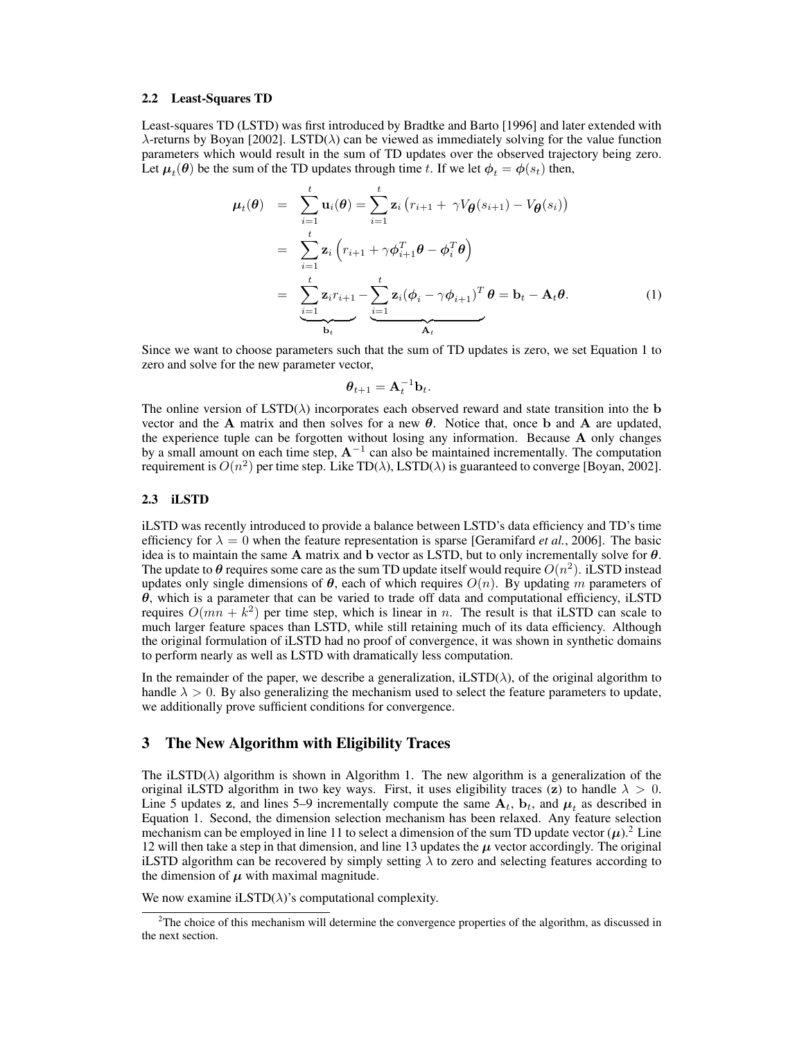#### 2.2 Least-Squares TD

Least-squares TD (LSTD) was first introduced by Bradtke and Barto [1996] and later extended with  $\lambda$ -returns by Boyan [2002]. LSTD( $\lambda$ ) can be viewed as immediately solving for the value function parameters which would result in the sum of TD updates over the observed trajectory being zero. Let  $\boldsymbol{\mu}_t(\boldsymbol{\theta})$  be the sum of the TD updates through time t. If we let  $\boldsymbol{\phi}_t = \boldsymbol{\phi}(s_t)$  then,

$$
\mu_t(\theta) = \sum_{i=1}^t \mathbf{u}_i(\theta) = \sum_{i=1}^t \mathbf{z}_i (r_{i+1} + \gamma V_{\theta}(s_{i+1}) - V_{\theta}(s_i))
$$
  
\n
$$
= \sum_{i=1}^t \mathbf{z}_i (r_{i+1} + \gamma \phi_{i+1}^T \theta - \phi_i^T \theta)
$$
  
\n
$$
= \sum_{i=1}^t \mathbf{z}_i r_{i+1} - \sum_{i=1}^t \mathbf{z}_i (\phi_i - \gamma \phi_{i+1})^T \theta = \mathbf{b}_t - \mathbf{A}_t \theta.
$$
 (1)

Since we want to choose parameters such that the sum of TD updates is zero, we set Equation 1 to zero and solve for the new parameter vector,

$$
\boldsymbol{\theta}_{t+1} = \mathbf{A}_t^{-1} \mathbf{b}_t.
$$

The online version of  $\text{LSTD}(\lambda)$  incorporates each observed reward and state transition into the b vector and the A matrix and then solves for a new  $\theta$ . Notice that, once b and A are updated, the experience tuple can be forgotten without losing any information. Because A only changes by a small amount on each time step,  $A^{-1}$  can also be maintained incrementally. The computation requirement is  $O(n^2)$  per time step. Like TD( $\lambda$ ), LSTD( $\lambda$ ) is guaranteed to converge [Boyan, 2002].

### 2.3 iLSTD

iLSTD was recently introduced to provide a balance between LSTD's data efficiency and TD's time efficiency for  $\lambda = 0$  when the feature representation is sparse [Geramifard *et al.*, 2006]. The basic idea is to maintain the same A matrix and b vector as LSTD, but to only incrementally solve for  $\theta$ . The update to  $\theta$  requires some care as the sum TD update itself would require  $O(n^2)$ . iLSTD instead updates only single dimensions of  $\theta$ , each of which requires  $O(n)$ . By updating m parameters of  $\theta$ , which is a parameter that can be varied to trade off data and computational efficiency, iLSTD requires  $O(mn + k^2)$  per time step, which is linear in n. The result is that iLSTD can scale to much larger feature spaces than LSTD, while still retaining much of its data efficiency. Although the original formulation of iLSTD had no proof of convergence, it was shown in synthetic domains to perform nearly as well as LSTD with dramatically less computation.

In the remainder of the paper, we describe a generalization, iLSTD( $\lambda$ ), of the original algorithm to handle  $\lambda > 0$ . By also generalizing the mechanism used to select the feature parameters to update, we additionally prove sufficient conditions for convergence.

# 3 The New Algorithm with Eligibility Traces

The iLSTD( $\lambda$ ) algorithm is shown in Algorithm 1. The new algorithm is a generalization of the original iLSTD algorithm in two key ways. First, it uses eligibility traces (z) to handle  $\lambda > 0$ . Line 5 updates z, and lines 5–9 incrementally compute the same  $A_t$ ,  $b_t$ , and  $\mu_t$  as described in Equation 1. Second, the dimension selection mechanism has been relaxed. Any feature selection mechanism can be employed in line 11 to select a dimension of the sum TD update vector  $(\mu)$ .<sup>2</sup> Line 12 will then take a step in that dimension, and line 13 updates the  $\mu$  vector accordingly. The original iLSTD algorithm can be recovered by simply setting  $\lambda$  to zero and selecting features according to the dimension of  $\mu$  with maximal magnitude.

We now examine iLSTD $(\lambda)$ 's computational complexity.

 $2<sup>2</sup>$ The choice of this mechanism will determine the convergence properties of the algorithm, as discussed in the next section.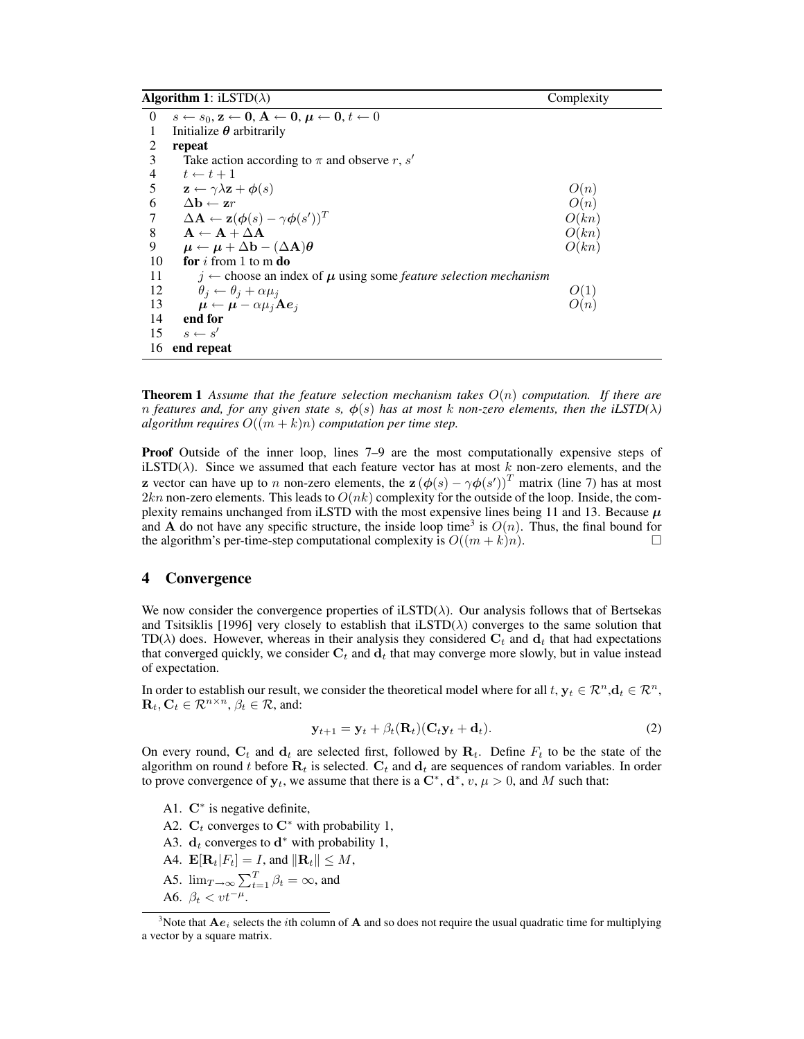| <b>Algorithm 1:</b> iLSTD( $\lambda$ ) |                                                                                                                                                | Complexity |
|----------------------------------------|------------------------------------------------------------------------------------------------------------------------------------------------|------------|
| $\theta$                               | $s \leftarrow s_0, \mathbf{z} \leftarrow \mathbf{0}, \mathbf{A} \leftarrow \mathbf{0}, \boldsymbol{\mu} \leftarrow \mathbf{0}, t \leftarrow 0$ |            |
|                                        | Initialize $\theta$ arbitrarily                                                                                                                |            |
| 2                                      | repeat                                                                                                                                         |            |
| 3                                      | Take action according to $\pi$ and observe r, s'                                                                                               |            |
| $\overline{4}$                         | $t \leftarrow t + 1$                                                                                                                           |            |
| 5                                      | $\mathbf{z} \leftarrow \gamma \lambda \mathbf{z} + \boldsymbol{\phi}(s)$                                                                       | O(n)       |
| 6                                      | $\Delta \mathbf{h} \leftarrow zr$                                                                                                              | O(n)       |
| 7                                      | $\Delta \mathbf{A} \leftarrow \mathbf{z}(\boldsymbol{\phi}(s) - \gamma \boldsymbol{\phi}(s'))^T$                                               | O(kn)      |
| 8                                      | $A \leftarrow A + \Delta A$                                                                                                                    | O(kn)      |
| 9                                      | $\mu \leftarrow \mu + \Delta b - (\Delta A)\theta$                                                                                             | O(kn)      |
| 10                                     | <b>for</b> i from 1 to m $\bf{do}$                                                                                                             |            |
| 11                                     | $j \leftarrow$ choose an index of $\mu$ using some feature selection mechanism                                                                 |            |
| 12                                     | $\theta_j \leftarrow \theta_j + \alpha \mu_j$                                                                                                  | O(1)       |
| 13                                     | $\mu \leftarrow \mu - \alpha \mu_j \mathbf{A} \boldsymbol{e}_j$                                                                                | O(n)       |
| 14                                     | end for                                                                                                                                        |            |
| 15                                     | $s \leftarrow s'$                                                                                                                              |            |
| 16                                     | end repeat                                                                                                                                     |            |

Theorem 1 *Assume that the feature selection mechanism takes* O(n) *computation. If there are n* features and, for any given state s,  $\phi(s)$  has at most k non-zero elements, then the iLSTD( $\lambda$ ) *algorithm requires*  $O((m + k)n)$  *computation per time step.* 

Proof Outside of the inner loop, lines 7–9 are the most computationally expensive steps of iLSTD( $\lambda$ ). Since we assumed that each feature vector has at most k non-zero elements, and the **z** vector can have up to *n* non-zero elements, the  $\mathbf{z} (\phi(s) - \gamma \phi(s'))^T$  matrix (line 7) has at most  $2kn$  non-zero elements. This leads to  $O(nk)$  complexity for the outside of the loop. Inside, the complexity remains unchanged from iLSTD with the most expensive lines being 11 and 13. Because  $\mu$ and **A** do not have any specific structure, the inside loop time<sup>3</sup> is  $O(n)$ . Thus, the final bound for the algorithm's per-time-step computational complexity is  $O((m + k)n)$ .

#### 4 Convergence

We now consider the convergence properties of  $iLSTD(\lambda)$ . Our analysis follows that of Bertsekas and Tsitsiklis [1996] very closely to establish that  $iLSTD(\lambda)$  converges to the same solution that TD( $\lambda$ ) does. However, whereas in their analysis they considered  $C_t$  and  $d_t$  that had expectations that converged quickly, we consider  $C_t$  and  $d_t$  that may converge more slowly, but in value instead of expectation.

In order to establish our result, we consider the theoretical model where for all t,  $\mathbf{y}_t \in \mathbb{R}^n, \mathbf{d}_t \in \mathbb{R}^n$ ,  $\mathbf{R}_t, \mathbf{C}_t \in \mathcal{R}^{n \times n}, \beta_t \in \mathcal{R}$ , and:

$$
\mathbf{y}_{t+1} = \mathbf{y}_t + \beta_t(\mathbf{R}_t)(\mathbf{C}_t \mathbf{y}_t + \mathbf{d}_t). \tag{2}
$$

On every round,  $C_t$  and  $d_t$  are selected first, followed by  $R_t$ . Define  $F_t$  to be the state of the algorithm on round t before  $R_t$  is selected.  $C_t$  and  $d_t$  are sequences of random variables. In order to prove convergence of  $y_t$ , we assume that there is a  $\mathbb{C}^*, \mathbf{d}^*, v, \mu > 0$ , and M such that:

- A1.  $\mathbf{C}^*$  is negative definite,
- A2.  $C_t$  converges to  $C^*$  with probability 1,
- A3.  $d_t$  converges to  $d^*$  with probability 1,
- A4.  $\mathbf{E}[\mathbf{R}_t|F_t] = I$ , and  $\|\mathbf{R}_t\| \leq M$ ,
- A5.  $\lim_{T \to \infty} \sum_{t=1}^{T} \beta_t = \infty$ , and
- A6.  $\beta_t < vt^{-\mu}$ .

<sup>&</sup>lt;sup>3</sup>Note that  $Ae_i$  selects the *i*th column of A and so does not require the usual quadratic time for multiplying a vector by a square matrix.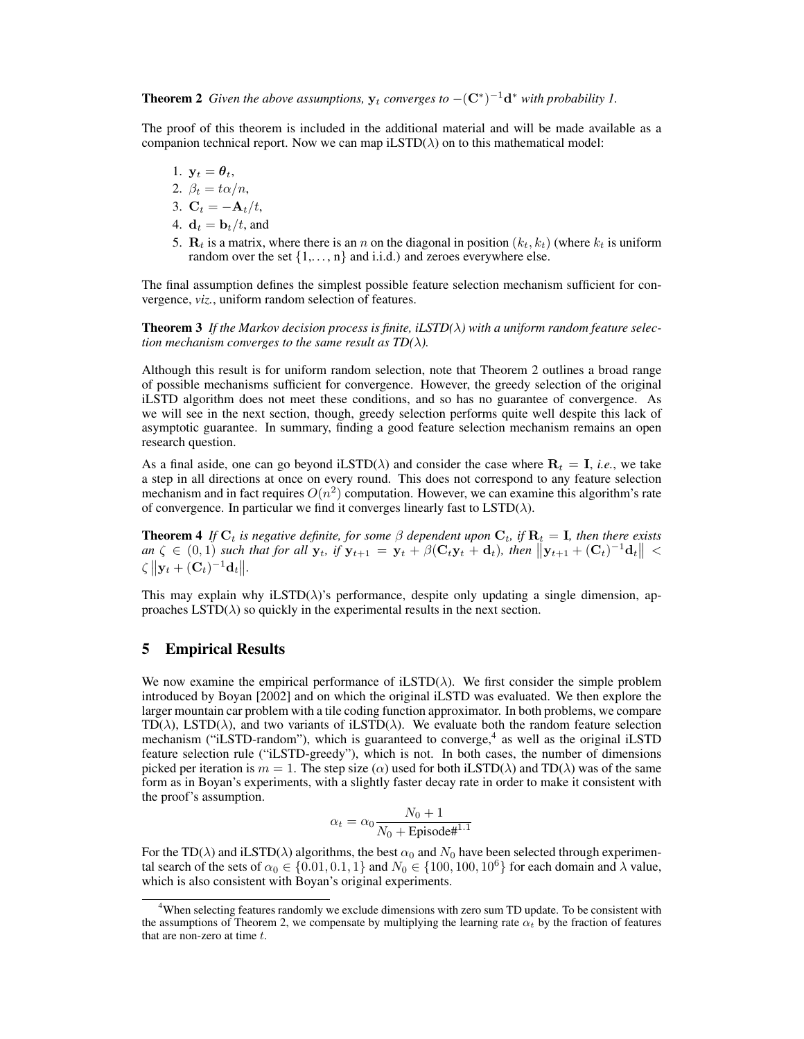**Theorem 2** Given the above assumptions,  $y_t$  converges to  $-(C^*)^{-1}d^*$  with probability 1.

The proof of this theorem is included in the additional material and will be made available as a companion technical report. Now we can map  $iLSTD(\lambda)$  on to this mathematical model:

$$
1. \, y_t = \boldsymbol{\theta}_t,
$$

$$
2. \ \beta_t = t\alpha/n,
$$

$$
3. \mathbf{C}_t = -\mathbf{A}_t/t,
$$

- 4.  $\mathbf{d}_t = \mathbf{b}_t/t$ , and
- 5.  $\mathbf{R}_t$  is a matrix, where there is an n on the diagonal in position  $(k_t, k_t)$  (where  $k_t$  is uniform random over the set  $\{1,\ldots,n\}$  and i.i.d.) and zeroes everywhere else.

The final assumption defines the simplest possible feature selection mechanism sufficient for convergence, *viz.*, uniform random selection of features.

Theorem 3 *If the Markov decision process is finite, iLSTD(*λ*) with a uniform random feature selection mechanism converges to the same result as TD(* $\lambda$ *).* 

Although this result is for uniform random selection, note that Theorem 2 outlines a broad range of possible mechanisms sufficient for convergence. However, the greedy selection of the original iLSTD algorithm does not meet these conditions, and so has no guarantee of convergence. As we will see in the next section, though, greedy selection performs quite well despite this lack of asymptotic guarantee. In summary, finding a good feature selection mechanism remains an open research question.

As a final aside, one can go beyond iLSTD( $\lambda$ ) and consider the case where  $\mathbf{R}_t = \mathbf{I}$ , *i.e.*, we take a step in all directions at once on every round. This does not correspond to any feature selection mechanism and in fact requires  $O(n^2)$  computation. However, we can examine this algorithm's rate of convergence. In particular we find it converges linearly fast to  $\text{LSTD}(\lambda)$ .

**Theorem 4** If  $C_t$  is negative definite, for some  $\beta$  dependent upon  $C_t$ , if  $R_t = I$ , then there exists  $an \zeta \in (0,1)$  *such that for all*  $\mathbf{y}_t$ *, if*  $\mathbf{y}_{t+1} = \mathbf{y}_t + \beta(\mathbf{C}_t \mathbf{y}_t + \mathbf{d}_t)$ *, then*  $||\mathbf{y}_{t+1} + (\mathbf{C}_t)^{-1} \mathbf{d}_t|| <$  $\zeta \|\mathbf{y}_t + (\mathbf{C}_t)^{-1} \mathbf{d}_t\|.$ 

This may explain why iLSTD( $\lambda$ )'s performance, despite only updating a single dimension, approaches  $\text{LSTD}(\lambda)$  so quickly in the experimental results in the next section.

# 5 Empirical Results

We now examine the empirical performance of iLSTD( $\lambda$ ). We first consider the simple problem introduced by Boyan [2002] and on which the original iLSTD was evaluated. We then explore the larger mountain car problem with a tile coding function approximator. In both problems, we compare TD( $\lambda$ ), LSTD( $\lambda$ ), and two variants of iLSTD( $\lambda$ ). We evaluate both the random feature selection mechanism ("iLSTD-random"), which is guaranteed to converge,<sup>4</sup> as well as the original iLSTD feature selection rule ("iLSTD-greedy"), which is not. In both cases, the number of dimensions picked per iteration is  $m = 1$ . The step size ( $\alpha$ ) used for both iLSTD( $\lambda$ ) and TD( $\lambda$ ) was of the same form as in Boyan's experiments, with a slightly faster decay rate in order to make it consistent with the proof's assumption.

$$
\alpha_t = \alpha_0 \frac{N_0 + 1}{N_0 + \text{Episode#}^{1.1}}
$$

For the TD( $\lambda$ ) and iLSTD( $\lambda$ ) algorithms, the best  $\alpha_0$  and  $N_0$  have been selected through experimental search of the sets of  $\alpha_0 \in \{0.01, 0.1, 1\}$  and  $N_0 \in \{100, 100, 10^6\}$  for each domain and  $\lambda$  value, which is also consistent with Boyan's original experiments.

<sup>&</sup>lt;sup>4</sup>When selecting features randomly we exclude dimensions with zero sum TD update. To be consistent with the assumptions of Theorem 2, we compensate by multiplying the learning rate  $\alpha_t$  by the fraction of features that are non-zero at time  $t$ .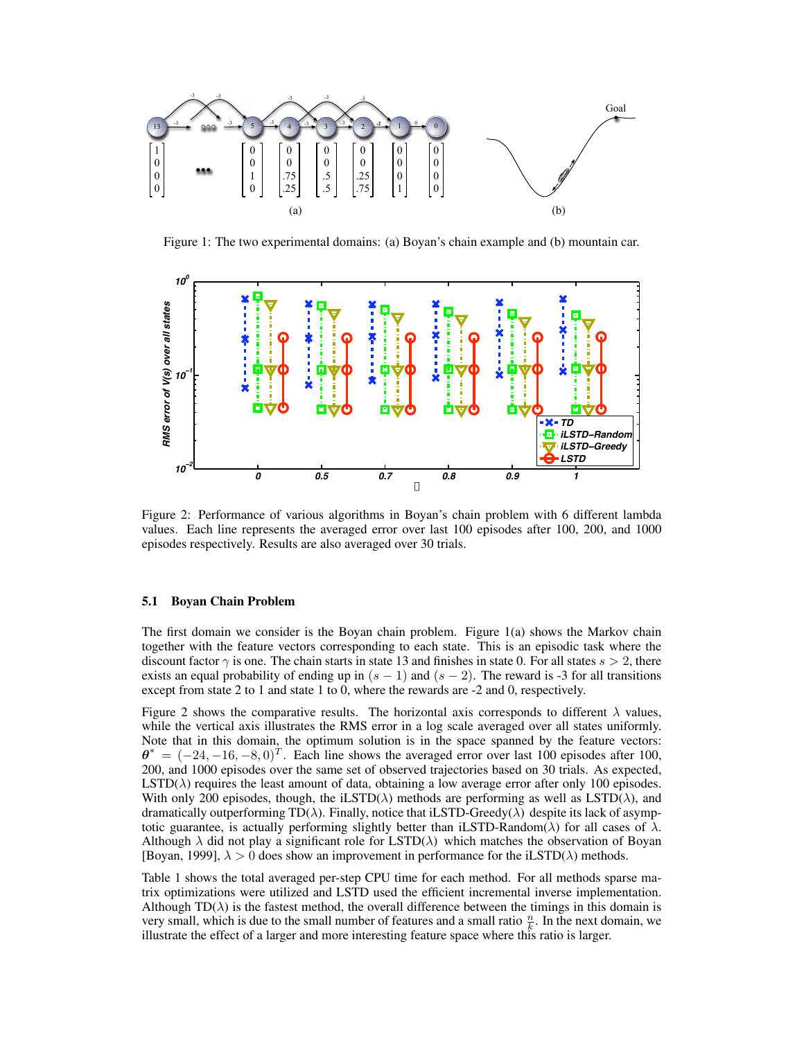

Figure 1: The two experimental domains: (a) Boyan's chain example and (b) mountain car.



Figure 2: Performance of various algorithms in Boyan's chain problem with 6 different lambda values. Each line represents the averaged error over last 100 episodes after 100, 200, and 1000 episodes respectively. Results are also averaged over 30 trials.

### 5.1 Boyan Chain Problem

The first domain we consider is the Boyan chain problem. Figure 1(a) shows the Markov chain together with the feature vectors corresponding to each state. This is an episodic task where the discount factor  $\gamma$  is one. The chain starts in state 13 and finishes in state 0. For all states  $s > 2$ , there exists an equal probability of ending up in  $(s - 1)$  and  $(s - 2)$ . The reward is -3 for all transitions except from state 2 to 1 and state 1 to 0, where the rewards are  $-2$  and 0, respectively.

Figure 2 shows the comparative results. The horizontal axis corresponds to different  $\lambda$  values, while the vertical axis illustrates the RMS error in a log scale averaged over all states uniformly. Note that in this domain, the optimum solution is in the space spanned by the feature vectors:  $\theta^* = (-24, -16, -8, 0)^T$ . Each line shows the averaged error over last 100 episodes after 100, 200, and 1000 episodes over the same set of observed trajectories based on 30 trials. As expected,  $\text{LSTD}(\lambda)$  requires the least amount of data, obtaining a low average error after only 100 episodes. With only 200 episodes, though, the iLSTD( $\lambda$ ) methods are performing as well as LSTD( $\lambda$ ), and dramatically outperforming  $TD(\lambda)$ . Finally, notice that iLSTD-Greedy( $\lambda$ ) despite its lack of asymptotic guarantee, is actually performing slightly better than iLSTD-Random( $\lambda$ ) for all cases of  $\lambda$ . Although  $\lambda$  did not play a significant role for LSTD( $\lambda$ ) which matches the observation of Boyan [Boyan, 1999],  $\lambda > 0$  does show an improvement in performance for the iLSTD( $\lambda$ ) methods.

Table 1 shows the total averaged per- step CPU time for each method. For all methods sparse matrix optimizations were utilized and LSTD used the efficient incremental inverse implementation. Although  $TD(\lambda)$  is the fastest method, the overall difference between the timings in this domain is very small, which is due to the small number of features and a small ratio  $\frac{n}{k}$ . In the next domain, we illustrate the effect of a larger and more interesting feature space where this ratio is larger.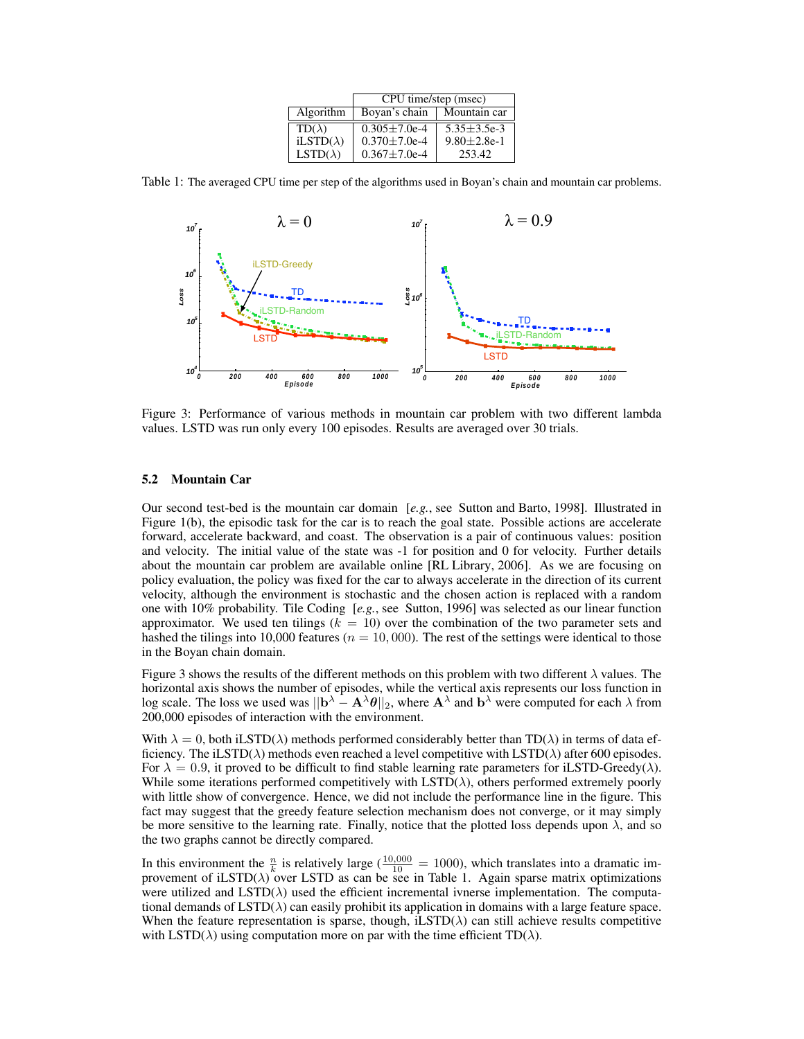|                  | CPU time/step (msec)         |                    |
|------------------|------------------------------|--------------------|
| Algorithm        | Boyan's chain                | Mountain car       |
| $TD(\lambda)$    | $\sqrt{0.305 \pm 7.0e^{-4}}$ | $5.35 \pm 3.5e-3$  |
| $iLSTD(\lambda)$ | $0.370 + 7.0e-4$             | $9.80 \pm 2.8$ e-1 |
| $LSTD(\lambda)$  | $0.367 + 7.0e-4$             | 253.42             |

Table 1: The averaged CPU time per step of the algorithms used in Boyan's chain and mountain car problems.



values. LSTD was run only every 100 episodes. Results are averaged over 30 trials. Figure 3: Performance of various methods in mountain car problem with two different lambda nd<br>Error

# **5.2** Mountain Car

**Summer Small Case Sutton and Barto, 1998**. Illustrated in **Easy Easy Easy Easy Easy Easy Easy Easy Easy Easy Easy Easy Easy Easy Easy Easy Easy Easy Easy Easy Easy Easy Easy** Figure 1(b), the episodic task for the car is to reach the goal state. Possible actions are accelerate forward, accelerate backward, and coast. The observation is a pair of continuous values: position and velocity. The initial value of the state was -1 for position and 0 for velocity. Further details about the mountain car problem are available online [RL Library, 2006]. As we are focusing on policy evaluation, the policy was fixed for the car to always accelerate in the direction of its current velocity, although the environment is stochastic and the chosen action is replaced with a random one with 10% probability. Tile Coding [*e.g.*, see Sutton, 1996] was selected as our linear function approximator. We used ten tilings  $(k = 10)$  over the combination of the two parameter sets and hashed the tilings into 10,000 features ( $n = 10,000$ ). The rest of the settings were identical to those in the Boyan chain domain.

Figure 3 shows the results of the different methods on this problem with two different  $\lambda$  values. The horizontal axis shows the number of episodes, while the vertical axis represents our loss function in log scale. The loss we used was  $||\mathbf{b}^{\lambda} - \mathbf{A}^{\lambda}\theta||_2$ , where  $\mathbf{A}^{\lambda}$  and  $\mathbf{b}^{\lambda}$  were computed for each  $\lambda$  from 200,000 episodes of interaction with the environment.

With  $\lambda = 0$ , both iLSTD( $\lambda$ ) methods performed considerably better than TD( $\lambda$ ) in terms of data efficiency. The iLSTD( $\lambda$ ) methods even reached a level competitive with LSTD( $\lambda$ ) after 600 episodes. For  $\lambda = 0.9$ , it proved to be difficult to find stable learning rate parameters for iLSTD-Greedy( $\lambda$ ). While some iterations performed competitively with  $\text{LSTD}(\lambda)$ , others performed extremely poorly with little show of convergence. Hence, we did not include the performance line in the figure. This fact may suggest that the greedy feature selection mechanism does not converge, or it may simply be more sensitive to the learning rate. Finally, notice that the plotted loss depends upon  $\lambda$ , and so the two graphs cannot be directly compared.

In this environment the  $\frac{n}{k}$  is relatively large ( $\frac{10,000}{10}$  = 1000), which translates into a dramatic improvement of iLSTD( $\lambda$ ) over LSTD as can be see in Table 1. Again sparse matrix optimizations were utilized and  $\text{LSTD}(\lambda)$  used the efficient incremental ivnerse implementation. The computational demands of  $\text{LSTD}(\lambda)$  can easily prohibit its application in domains with a large feature space. When the feature representation is sparse, though, iLSTD( $\lambda$ ) can still achieve results competitive with LSTD( $\lambda$ ) using computation more on par with the time efficient TD( $\lambda$ ).